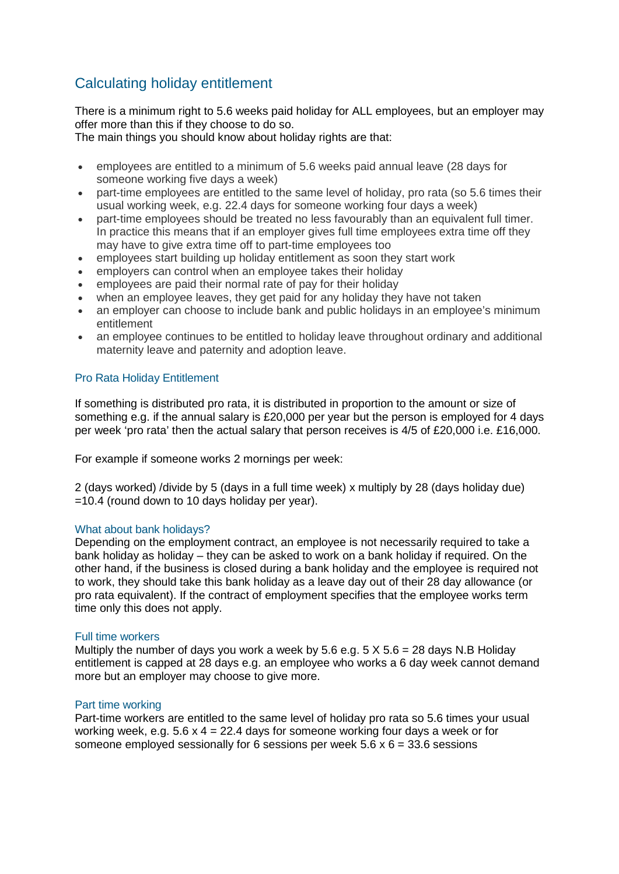# Calculating holiday entitlement

There is a minimum right to 5.6 weeks paid holiday for ALL employees, but an employer may offer more than this if they choose to do so.

The main things you should know about holiday rights are that:

- employees are entitled to a minimum of 5.6 weeks paid annual leave (28 days for someone working five days a week)
- part-time employees are entitled to the same level of holiday, pro rata (so 5.6 times their usual working week, e.g. 22.4 days for someone working four days a week)
- part-time employees should be treated no less favourably than an equivalent full timer. In practice this means that if an employer gives full time employees extra time off they may have to give extra time off to part-time employees too
- employees start building up holiday entitlement as soon they start work
- employers can control when an employee takes their holiday
- employees are paid their normal rate of pay for their holiday
- when an employee leaves, they get paid for any holiday they have not taken
- an employer can choose to include bank and public holidays in an employee's minimum entitlement
- an employee continues to be entitled to holiday leave throughout ordinary and additional maternity leave and paternity and adoption leave.

## Pro Rata Holiday Entitlement

If something is distributed pro rata, it is distributed in proportion to the amount or size of something e.g. if the annual salary is £20,000 per year but the person is employed for 4 days per week 'pro rata' then the actual salary that person receives is 4/5 of £20,000 i.e. £16,000.

For example if someone works 2 mornings per week:

2 (days worked) /divide by 5 (days in a full time week) x multiply by 28 (days holiday due) =10.4 (round down to 10 days holiday per year).

### What about bank holidays?

Depending on the employment contract, an employee is not necessarily required to take a bank holiday as holiday – they can be asked to work on a bank holiday if required. On the other hand, if the business is closed during a bank holiday and the employee is required not to work, they should take this bank holiday as a leave day out of their 28 day allowance (or pro rata equivalent). If the contract of employment specifies that the employee works term time only this does not apply.

### Full time workers

Multiply the number of days you work a week by 5.6 e.g.  $5 \times 5.6 = 28$  days N.B Holiday entitlement is capped at 28 days e.g. an employee who works a 6 day week cannot demand more but an employer may choose to give more.

### Part time working

Part-time workers are entitled to the same level of holiday pro rata so 5.6 times your usual working week, e.g.  $5.6 \times 4 = 22.4$  days for someone working four days a week or for someone employed sessionally for 6 sessions per week  $5.6 \times 6 = 33.6$  sessions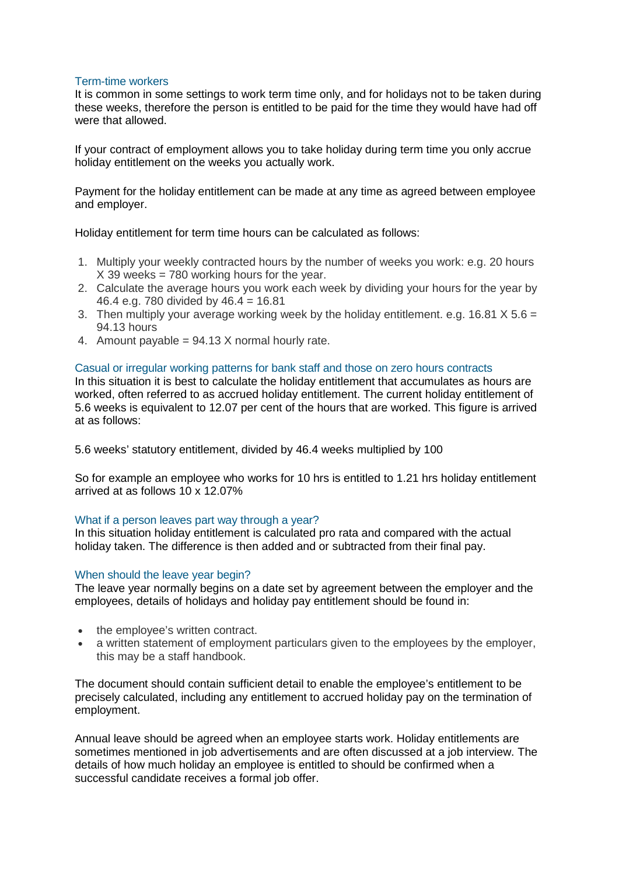### Term-time workers

It is common in some settings to work term time only, and for holidays not to be taken during these weeks, therefore the person is entitled to be paid for the time they would have had off were that allowed.

If your contract of employment allows you to take holiday during term time you only accrue holiday entitlement on the weeks you actually work.

Payment for the holiday entitlement can be made at any time as agreed between employee and employer.

Holiday entitlement for term time hours can be calculated as follows:

- 1. Multiply your weekly contracted hours by the number of weeks you work: e.g. 20 hours  $X$  39 weeks = 780 working hours for the year.
- 2. Calculate the average hours you work each week by dividing your hours for the year by 46.4 e.g. 780 divided by 46.4 = 16.81
- 3. Then multiply your average working week by the holiday entitlement. e.g. 16.81  $X$  5.6 = 94.13 hours
- 4. Amount payable =  $94.13$  X normal hourly rate.

### Casual or irregular working patterns for bank staff and those on zero hours contracts

In this situation it is best to calculate the holiday entitlement that accumulates as hours are worked, often referred to as accrued holiday entitlement. The current holiday entitlement of 5.6 weeks is equivalent to 12.07 per cent of the hours that are worked. This figure is arrived at as follows:

5.6 weeks' statutory entitlement, divided by 46.4 weeks multiplied by 100

So for example an employee who works for 10 hrs is entitled to 1.21 hrs holiday entitlement arrived at as follows 10 x 12.07%

### What if a person leaves part way through a year?

In this situation holiday entitlement is calculated pro rata and compared with the actual holiday taken. The difference is then added and or subtracted from their final pay.

### When should the leave year begin?

The leave year normally begins on a date set by agreement between the employer and the employees, details of holidays and holiday pay entitlement should be found in:

- the employee's written contract.
- a written statement of employment particulars given to the employees by the employer. this may be a staff handbook.

The document should contain sufficient detail to enable the employee's entitlement to be precisely calculated, including any entitlement to accrued holiday pay on the termination of employment.

Annual leave should be agreed when an employee starts work. Holiday entitlements are sometimes mentioned in job advertisements and are often discussed at a job interview. The details of how much holiday an employee is entitled to should be confirmed when a successful candidate receives a formal job offer.